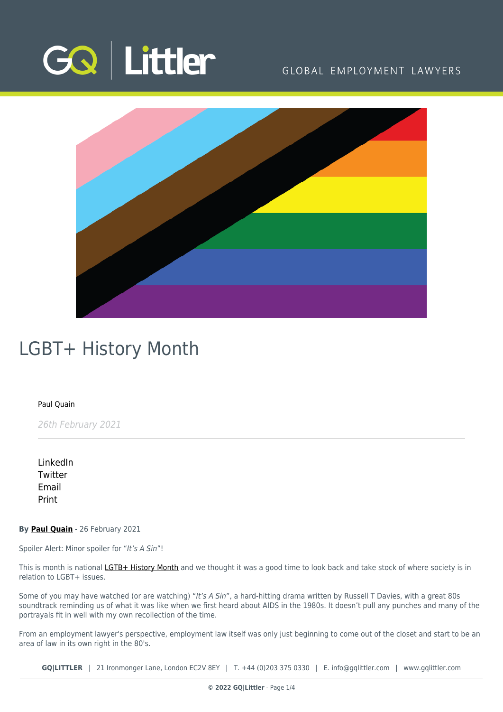

### GLOBAL EMPLOYMENT LAWYERS



## LGBT+ History Month

### [Paul Quain](https://www.gqlittler.com/about-us/the-team/paul-quain)

26th February 2021

[LinkedIn](https://www.linkedin.com/shareArticle?mini=true&url=https%3A%2F%2Fwww.gqlittler.com%2Fresources%2Fnews-and-views%2Flgbt-history-month.htm%3Funlock%3Dtrue&title=LGBT%2B+History+Month&summary=This+is+month+is+national+LGTB%2B+History+Month+and+we+thought+it+was+a+good+time+to+look+back+and+take+stock+of+where+society+is+in+relation+to+LGBT%2B+issues.&source=GQ+%7C+Littler) **[Twitter](https://twitter.com/share?text=LGBT%2B+History+Month&url=https%3A%2F%2Fwww.gqlittler.com%2Fresources%2Fnews-and-views%2Flgbt-history-month.htm&hashtags=)** [Email](mailto:?subject=LGBT+ History Month&body=I) [Print](https://www.bg-pdf.co.uk/_GQ/page.php?M=6148523063484d364c793933643363755a33467361585230624756794c6d4e76625339795a584e7664584a6a5a584d76626d563363793168626d5174646d6c6c64334d76624764696443316f61584e3062334a354c573176626e526f4c6d683062534e4149307848516c51724945687063335276636e6b67545739756447676a51434e735a324a304c57687063335276636e6b74625739756447673d)

**By [Paul Quain](https://www.gqlittler.com/about-us/the-team/paul-quain)** - 26 February 2021

Spoiler Alert: Minor spoiler for "It's A Sin"!

This is month is national [LGTB+ History Month](https://lgbtplushistorymonth.co.uk/) and we thought it was a good time to look back and take stock of where society is in relation to LGBT+ issues.

Some of you may have watched (or are watching) "It's A Sin", a hard-hitting drama written by Russell T Davies, with a great 80s soundtrack reminding us of what it was like when we first heard about AIDS in the 1980s. It doesn't pull any punches and many of the portrayals fit in well with my own recollection of the time.

From an employment lawyer's perspective, employment law itself was only just beginning to come out of the closet and start to be an area of law in its own right in the 80's.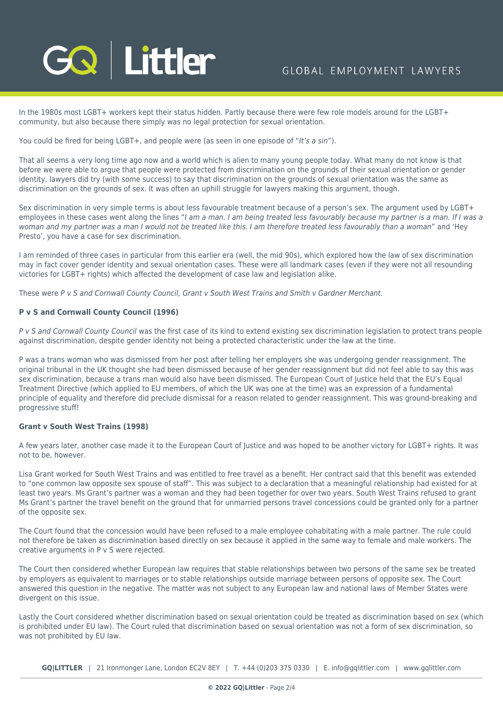# **GQ Littler**

In the 1980s most LGBT+ workers kept their status hidden. Partly because there were few role models around for the LGBT+ community, but also because there simply was no legal protection for sexual orientation.

You could be fired for being LGBT+, and people were (as seen in one episode of "It's a sin").

That all seems a very long time ago now and a world which is alien to many young people today. What many do not know is that before we were able to argue that people were protected from discrimination on the grounds of their sexual orientation or gender identity, lawyers did try (with some success) to say that discrimination on the grounds of sexual orientation was the same as discrimination on the grounds of sex. It was often an uphill struggle for lawyers making this argument, though.

Sex discrimination in very simple terms is about less favourable treatment because of a person's sex. The argument used by LGBT+ employees in these cases went along the lines "I am a man. I am being treated less favourably because my partner is a man. If I was a woman and my partner was a man I would not be treated like this. I am therefore treated less favourably than a woman" and 'Hey Presto', you have a case for sex discrimination.

I am reminded of three cases in particular from this earlier era (well, the mid 90s), which explored how the law of sex discrimination may in fact cover gender identity and sexual orientation cases. These were all landmark cases (even if they were not all resounding victories for LGBT+ rights) which affected the development of case law and legislation alike.

These were P v S and Cornwall County Council, Grant v South West Trains and Smith v Gardner Merchant.

### **P v S and Cornwall County Council (1996)**

P v S and Cornwall County Council was the first case of its kind to extend existing sex discrimination legislation to protect trans people against discrimination, despite gender identity not being a protected characteristic under the law at the time.

P was a trans woman who was dismissed from her post after telling her employers she was undergoing gender reassignment. The original tribunal in the UK thought she had been dismissed because of her gender reassignment but did not feel able to say this was sex discrimination, because a trans man would also have been dismissed. The European Court of Justice held that the EU's Equal Treatment Directive (which applied to EU members, of which the UK was one at the time) was an expression of a fundamental principle of equality and therefore did preclude dismissal for a reason related to gender reassignment. This was ground-breaking and progressive stuff!

### **Grant v South West Trains (1998)**

A few years later, another case made it to the European Court of Justice and was hoped to be another victory for LGBT+ rights. It was not to be, however.

Lisa Grant worked for South West Trains and was entitled to free travel as a benefit. Her contract said that this benefit was extended to "one common law opposite sex spouse of staff". This was subject to a declaration that a meaningful relationship had existed for at least two years. Ms Grant's partner was a woman and they had been together for over two years. South West Trains refused to grant Ms Grant's partner the travel benefit on the ground that for unmarried persons travel concessions could be granted only for a partner of the opposite sex.

The Court found that the concession would have been refused to a male employee cohabitating with a male partner. The rule could not therefore be taken as discrimination based directly on sex because it applied in the same way to female and male workers. The creative arguments in P v S were rejected.

The Court then considered whether European law requires that stable relationships between two persons of the same sex be treated by employers as equivalent to marriages or to stable relationships outside marriage between persons of opposite sex. The Court answered this question in the negative. The matter was not subject to any European law and national laws of Member States were divergent on this issue.

Lastly the Court considered whether discrimination based on sexual orientation could be treated as discrimination based on sex (which is prohibited under EU law). The Court ruled that discrimination based on sexual orientation was not a form of sex discrimination, so was not prohibited by EU law.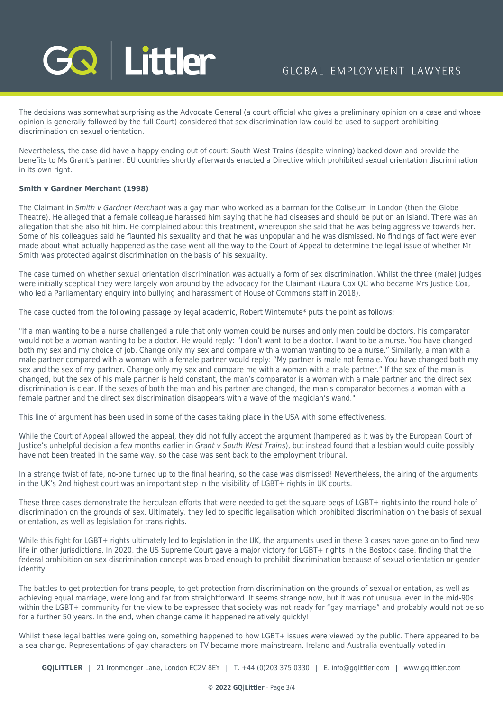

The decisions was somewhat surprising as the Advocate General (a court official who gives a preliminary opinion on a case and whose opinion is generally followed by the full Court) considered that sex discrimination law could be used to support prohibiting discrimination on sexual orientation.

Nevertheless, the case did have a happy ending out of court: South West Trains (despite winning) backed down and provide the benefits to Ms Grant's partner. EU countries shortly afterwards enacted a Directive which prohibited sexual orientation discrimination in its own right.

### **Smith v Gardner Merchant (1998)**

The Claimant in Smith v Gardner Merchant was a gay man who worked as a barman for the Coliseum in London (then the Globe Theatre). He alleged that a female colleague harassed him saying that he had diseases and should be put on an island. There was an allegation that she also hit him. He complained about this treatment, whereupon she said that he was being aggressive towards her. Some of his colleagues said he flaunted his sexuality and that he was unpopular and he was dismissed. No findings of fact were ever made about what actually happened as the case went all the way to the Court of Appeal to determine the legal issue of whether Mr Smith was protected against discrimination on the basis of his sexuality.

The case turned on whether sexual orientation discrimination was actually a form of sex discrimination. Whilst the three (male) judges were initially sceptical they were largely won around by the advocacy for the Claimant (Laura Cox QC who became Mrs Justice Cox, who led a Parliamentary enquiry into bullying and harassment of House of Commons staff in 2018).

The case quoted from the following passage by legal academic, Robert Wintemute\* puts the point as follows:

"If a man wanting to be a nurse challenged a rule that only women could be nurses and only men could be doctors, his comparator would not be a woman wanting to be a doctor. He would reply: "I don't want to be a doctor. I want to be a nurse. You have changed both my sex and my choice of job. Change only my sex and compare with a woman wanting to be a nurse." Similarly, a man with a male partner compared with a woman with a female partner would reply: "My partner is male not female. You have changed both my sex and the sex of my partner. Change only my sex and compare me with a woman with a male partner." If the sex of the man is changed, but the sex of his male partner is held constant, the man's comparator is a woman with a male partner and the direct sex discrimination is clear. If the sexes of both the man and his partner are changed, the man's comparator becomes a woman with a female partner and the direct sex discrimination disappears with a wave of the magician's wand."

This line of argument has been used in some of the cases taking place in the USA with some effectiveness.

While the Court of Appeal allowed the appeal, they did not fully accept the argument (hampered as it was by the European Court of Justice's unhelpful decision a few months earlier in Grant v South West Trains), but instead found that a lesbian would quite possibly have not been treated in the same way, so the case was sent back to the employment tribunal.

In a strange twist of fate, no-one turned up to the final hearing, so the case was dismissed! Nevertheless, the airing of the arguments in the UK's 2nd highest court was an important step in the visibility of LGBT+ rights in UK courts.

These three cases demonstrate the herculean efforts that were needed to get the square pegs of LGBT+ rights into the round hole of discrimination on the grounds of sex. Ultimately, they led to specific legalisation which prohibited discrimination on the basis of sexual orientation, as well as legislation for trans rights.

While this fight for LGBT+ rights ultimately led to legislation in the UK, the arguments used in these 3 cases have gone on to find new life in other jurisdictions. In 2020, the US Supreme Court gave a major victory for LGBT+ rights in the Bostock case, finding that the federal prohibition on sex discrimination concept was broad enough to prohibit discrimination because of sexual orientation or gender identity.

The battles to get protection for trans people, to get protection from discrimination on the grounds of sexual orientation, as well as achieving equal marriage, were long and far from straightforward. It seems strange now, but it was not unusual even in the mid-90s within the LGBT+ community for the view to be expressed that society was not ready for "gay marriage" and probably would not be so for a further 50 years. In the end, when change came it happened relatively quickly!

Whilst these legal battles were going on, something happened to how LGBT+ issues were viewed by the public. There appeared to be a sea change. Representations of gay characters on TV became more mainstream. Ireland and Australia eventually voted in